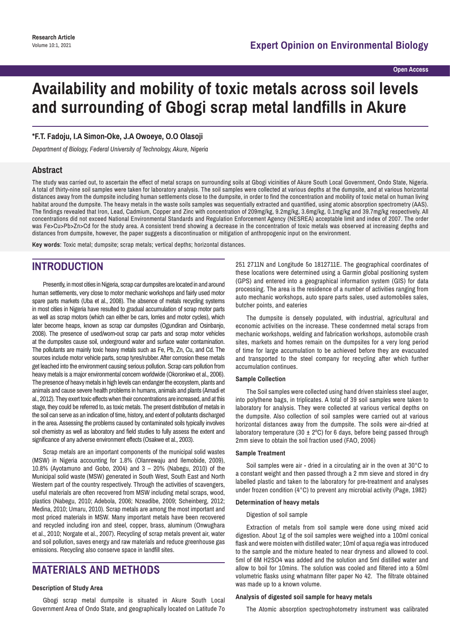## **Open Access**

# **Availability and mobility of toxic metals across soil levels and surrounding of Gbogi scrap metal landfills in Akure**

### **\*F.T. Fadoju, I.A Simon-Oke, J.A Owoeye, O.O Olasoji**

*Department of Biology, Federal University of Technology, Akure, Nigeria*

## **Abstract**

The study was carried out, to ascertain the effect of metal scraps on surrounding soils at Gbogi vicinities of Akure South Local Government, Ondo State, Nigeria. A total of thirty-nine soil samples were taken for laboratory analysis. The soil samples were collected at various depths at the dumpsite, and at various horizontal distances away from the dumpsite including human settlements close to the dumpsite, in order to find the concentration and mobility of toxic metal on human living habitat around the dumpsite. The heavy metals in the waste soils samples was sequentially extracted and quantified, using atomic absorption spectrometry (AAS). The findings revealed that Iron, Lead, Cadmium, Copper and Zinc with concentration of 209mg/kg, 9.2mg/kg, 3.6mg/kg, 0.1mg/kg and 39.7mg/kg respectively. All concentrations did not exceed National Environmental Standards and Regulation Enforcement Agency (NESREA) acceptable limit and index of 2007. The order was Fe>Cu>Pb>Zn>Cd for the study area. A consistent trend showing a decrease in the concentration of toxic metals was observed at increasing depths and distances from dumpsite, however, the paper suggests a discontinuation or mitigation of anthropogenic input on the environment.

**Key words**: Toxic metal; dumpsite; scrap metals; vertical depths; horizontal distances.

## **INTRODUCTION**

Presently, in most cities in Nigeria, scrap car dumpsites are located in and around human settlements, very close to motor mechanic workshops and fairly used motor spare parts markets (Uba et al., 2008). The absence of metals recycling systems in most cities in Nigeria have resulted to gradual accumulation of scrap motor parts as well as scrap motors (which can either be cars, lorries and motor cycles), which later become heaps, known as scrap car dumpsites (Ogundiran and Osinbanjo, 2008). The presence of used/worn-out scrap car parts and scrap motor vehicles at the dumpsites cause soil, underground water and surface water contamination. The pollutants are mainly toxic heavy metals such as Fe, Pb, Zn, Cu, and Cd. The sources include motor vehicle parts, scrap tyres/rubber. After corrosion these metals get leached into the environment causing serious pollution. Scrap cars pollution from heavy metals is a major environmental concern worldwide (Okoronkwo et al., 2006). The presence of heavy metals in high levels can endanger the ecosystem, plants and animals and cause severe health problems in humans, animals and plants (Amadi et al., 2012). They exert toxic effects when their concentrations are increased, and at this stage, they could be referred to, as toxic metals. The present distribution of metals in the soil can serve as an indication of time, history, and extent of pollutants discharged in the area. Assessing the problems caused by contaminated soils typically involves soil chemistry as well as laboratory and field studies to fully assess the extent and significance of any adverse environment effects (Osakwe et al., 2003).

Scrap metals are an important components of the municipal solid wastes (MSW) in Nigeria accounting for 1.8% (Olanrewaju and Ilemobide, 2009), 10.8% (Ayotamuno and Gobo, 2004) and 3 – 20% (Nabegu, 2010) of the Municipal solid waste (MSW) generated in South West, South East and North Western part of the country respectively. Through the activities of scavengers, useful materials are often recovered from MSW including metal scraps, wood, plastics (Nabegu, 2010; Adebola, 2006; Nzeadibe, 2009; Scheinberg, 2012; Medina, 2010; Umaru, 2010). Scrap metals are among the most important and most priced materials in MSW. Many important metals have been recovered and recycled including iron and steel, copper, brass, aluminum (Onwughara et al., 2010; Norgate et al., 2007). Recycling of scrap metals prevent air, water and soil pollution, saves energy and raw materials and reduce greenhouse gas emissions. Recycling also conserve space in landfill sites.

# **MATERIALS AND METHODS**

#### **Description of Study Area**

Gbogi scrap metal dumpsite is situated in Akure South Local Government Area of Ondo State, and geographically located on Latitude 7o

251 2711N and Longitude 5o 1812711E. The geographical coordinates of these locations were determined using a Garmin global positioning system (GPS) and entered into a geographical information system (GIS) for data processing. The area is the residence of a number of activities ranging from auto mechanic workshops, auto spare parts sales, used automobiles sales, butcher points, and eateries

The dumpsite is densely populated, with industrial, agricultural and economic activities on the increase. These condemned metal scraps from mechanic workshops, welding and fabrication workshops, automobile crash sites, markets and homes remain on the dumpsites for a very long period of time for large accumulation to be achieved before they are evacuated and transported to the steel company for recycling after which further accumulation continues.

#### **Sample Collection**

The Soil samples were collected using hand driven stainless steel auger, into polythene bags, in triplicates. A total of 39 soil samples were taken to laboratory for analysis. They were collected at various vertical depths on the dumpsite. Also collection of soil samples were carried out at various horizontal distances away from the dumpsite. The soils were air-dried at laboratory temperature (30  $\pm$  2°C) for 6 days, before being passed through 2mm sieve to obtain the soil fraction used (FAO, 2006)

#### **Sample Treatment**

Soil samples were air - dried in a circulating air in the oven at 30°C to a constant weight and then passed through a 2 mm sieve and stored in dry labelled plastic and taken to the laboratory for pre-treatment and analyses under frozen condition (4°C) to prevent any microbial activity (Page, 1982)

#### **Determination of heavy metals**

Digestion of soil sample

Extraction of metals from soil sample were done using mixed acid digestion. About 1g of the soil samples were weighed into a 100ml conical flask and were moisten with distilled water; 10ml of aqua regia was introduced to the sample and the mixture heated to near dryness and allowed to cool. 5ml of 6M H2SO4 was added and the solution and 5ml distilled water and allow to boil for 10mins. The solution was cooled and filtered into a 50ml volumetric flasks using whatmann filter paper No 42. The filtrate obtained was made up to a known volume.

#### **Analysis of digested soil sample for heavy metals**

The Atomic absorption spectrophotometry instrument was calibrated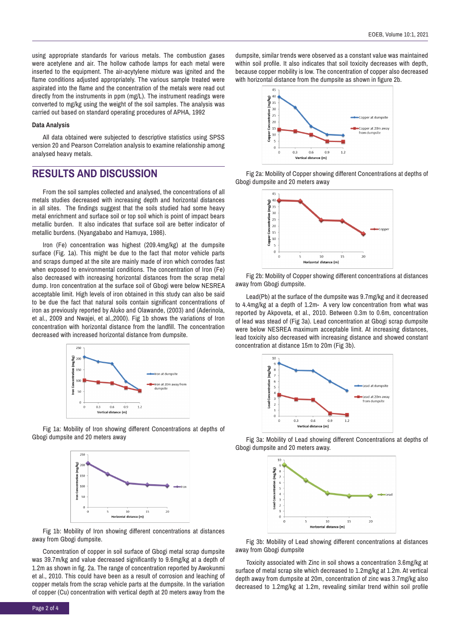using appropriate standards for various metals. The combustion gases were acetylene and air. The hollow cathode lamps for each metal were inserted to the equipment. The air-acytylene mixture was ignited and the flame conditions adjusted appropriately. The various sample treated were aspirated into the flame and the concentration of the metals were read out directly from the instruments in ppm (mg/L). The instrument readings were converted to mg/kg using the weight of the soil samples. The analysis was carried out based on standard operating procedures of APHA, 1992

#### **Data Analysis**

All data obtained were subjected to descriptive statistics using SPSS version 20 and Pearson Correlation analysis to examine relationship among analysed heavy metals.

# **RESULTS AND DISCUSSION**

From the soil samples collected and analysed, the concentrations of all metals studies decreased with increasing depth and horizontal distances in all sites. The findings suggest that the soils studied had some heavy metal enrichment and surface soil or top soil which is point of impact bears metallic burden. It also indicates that surface soil are better indicator of metallic burdens. (Nyangababo and Hamuya, 1986).

Iron (Fe) concentration was highest (209.4mg/kg) at the dumpsite surface (Fig. 1a). This might be due to the fact that motor vehicle parts and scraps dumped at the site are mainly made of iron which corrodes fast when exposed to environmental conditions. The concentration of Iron (Fe) also decreased with increasing horizontal distances from the scrap metal dump. Iron concentration at the surface soil of Gbogi were below NESREA acceptable limit. High levels of iron obtained in this study can also be said to be due the fact that natural soils contain significant concentrations of iron as previously reported by Aluko and Olawande, (2003) and (Aderinola, et al., 2009 and Nwajei, et al.,2000). Fig 1b shows the variations of Iron concentration with horizontal distance from the landfill. The concentration decreased with increased horizontal distance from dumpsite.



Fig 1a: Mobility of Iron showing different Concentrations at depths of Gbogi dumpsite and 20 meters away



Fig 1b: Mobility of Iron showing different concentrations at distances away from Gbogi dumpsite.

Concentration of copper in soil surface of Gbogi metal scrap dumpsite was 39.7m/kg and value decreased significantly to 9.6mg/kg at a depth of 1.2m as shown in fig. 2a. The range of concentration reported by Awokunmi et al., 2010. This could have been as a result of corrosion and leaching of copper metals from the scrap vehicle parts at the dumpsite. In the variation of copper (Cu) concentration with vertical depth at 20 meters away from the dumpsite, similar trends were observed as a constant value was maintained within soil profile. It also indicates that soil toxicity decreases with depth, because copper mobility is low. The concentration of copper also decreased with horizontal distance from the dumpsite as shown in figure 2b.



Fig 2a: Mobility of Copper showing different Concentrations at depths of Gbogi dumpsite and 20 meters away



Fig 2b: Mobility of Copper showing different concentrations at distances away from Gbogi dumpsite.

Lead(Pb) at the surface of the dumpsite was 9.7mg/kg and it decreased to 4.4mg/kg at a depth of 1.2m- A very low concentration from what was reported by Akpoveta, et al., 2010. Between 0.3m to 0.6m, concentration of lead was stead of (Fig 3a). Lead concentration at Gbogi scrap dumpsite were below NESREA maximum acceptable limit. At increasing distances, lead toxicity also decreased with increasing distance and showed constant concentration at distance 15m to 20m (Fig 3b).



Fig 3a: Mobility of Lead showing different Concentrations at depths of Gbogi dumpsite and 20 meters away.



Fig 3b: Mobility of Lead showing different concentrations at distances away from Gbogi dumpsite

Toxicity associated with Zinc in soil shows a concentration 3.6mg/kg at surface of metal scrap site which decreased to 1.2mg/kg at 1.2m. At vertical depth away from dumpsite at 20m, concentration of zinc was 3.7mg/kg also decreased to 1.2mg/kg at 1.2m, revealing similar trend within soil profile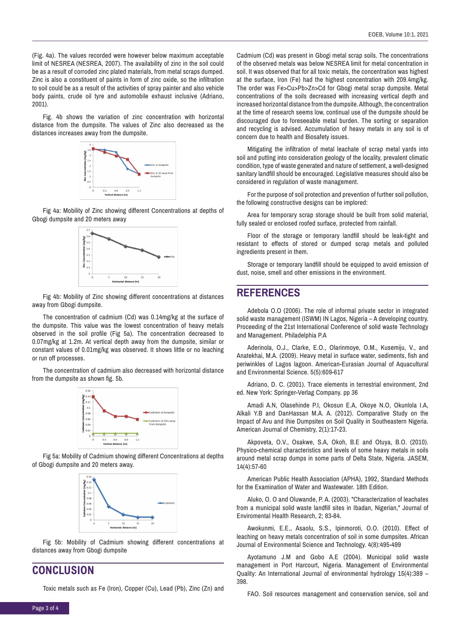(Fig. 4a). The values recorded were however below maximum acceptable limit of NESREA (NESREA, 2007). The availability of zinc in the soil could be as a result of corroded zinc plated materials, from metal scraps dumped. Zinc is also a constituent of paints in form of zinc oxide, so the infiltration to soil could be as a result of the activities of spray painter and also vehicle body paints, crude oil tyre and automobile exhaust inclusive (Adriano, 2001).

Fig. 4b shows the variation of zinc concentration with horizontal distance from the dumpsite. The values of Zinc also decreased as the distances increases away from the dumpsite.



Fig 4a: Mobility of Zinc showing different Concentrations at depths of Gbogi dumpsite and 20 meters away



Fig 4b: Mobility of Zinc showing different concentrations at distances away from Gbogi dumpsite.

The concentration of cadmium (Cd) was 0.14mg/kg at the surface of the dumpsite. This value was the lowest concentration of heavy metals observed in the soil profile (Fig 5a). The concentration decreased to 0.07mg/kg at 1.2m. At vertical depth away from the dumpsite, similar or constant values of 0.01mg/kg was observed. It shows little or no leaching or run off processes.

The concentration of cadmium also decreased with horizontal distance from the dumpsite as shown fig. 5b.



Fig 5a: Mobility of Cadmium showing different Concentrations at depths of Gbogi dumpsite and 20 meters away.



Fig 5b: Mobility of Cadmium showing different concentrations at distances away from Gbogi dumpsite

**CONCLUSION**

Toxic metals such as Fe (Iron), Copper (Cu), Lead (Pb), Zinc (Zn) and

Cadmium (Cd) was present in Gbogi metal scrap soils. The concentrations of the observed metals was below NESREA limit for metal concentration in soil. It was observed that for all toxic metals, the concentration was highest at the surface, Iron (Fe) had the highest concentration with 209.4mg/kg. The order was Fe>Cu>Pb>Zn>Cd for Gbogi metal scrap dumpsite. Metal concentrations of the soils decreased with increasing vertical depth and increased horizontal distance from the dumpsite. Although, the concentration at the time of research seems low, continual use of the dumpsite should be discouraged due to foreseeable metal burden. The sorting or separation and recycling is advised. Accumulation of heavy metals in any soil is of concern due to health and Biosafety issues.

Mitigating the infiltration of metal leachate of scrap metal yards into soil and putting into consideration geology of the locality, prevalent climatic condition, type of waste generated and nature of settlement, a well-designed sanitary landfill should be encouraged. Legislative measures should also be considered in regulation of waste management.

For the purpose of soil protection and prevention of further soil pollution, the following constructive designs can be implored:

Area for temporary scrap storage should be built from solid material, fully sealed or enclosed roofed surface, protected from rainfall.

Floor of the storage or temporary landfill should be leak-tight and resistant to effects of stored or dumped scrap metals and polluted ingredients present in them.

Storage or temporary landfill should be equipped to avoid emission of dust, noise, smell and other emissions in the environment.

## **REFERENCES**

Adebola O.O (2006). The role of informal private sector in integrated solid waste management (ISWM) IN Lagos, Nigeria – A developing country. Proceeding of the 21st International Conference of solid waste Technology and Management. Philadelphia P.A

Aderinola, O.J., Clarke, E.O., Olarinmoye, O.M., Kusemiju, V., and Anatekhai, M.A. (2009). Heavy metal in surface water, sediments, fish and periwinkles of Lagos lagoon. American-Eurasian Journal of Aquacultural and Environmental Science. 5(5):609-617

Adriano, D. C. (2001). Trace elements in terrestrial environment, 2nd ed. New York: Springer-Verlag Company. pp 36

Amadi A.N, Olasehinde P.I, Okosun E.A, Okoye N.O, Okunlola I.A, Alkali Y.B and DanHassan M.A. A. (2012). Comparative Study on the Impact of Avu and Ihie Dumpsites on Soil Quality in Southeastern Nigeria. American Journal of Chemistry, 2(1):17-23.

Akpoveta, O.V., Osakwe, S.A, Okoh, B.E and Otuya, B.O. (2010). Physico-chemical characteristics and levels of some heavy metals in soils around metal scrap dumps in some parts of Delta State, Nigeria. JASEM, 14(4):57-60

American Public Health Association (APHA), 1992, Standard Methods for the Examination of Water and Wastewater. 18th Edition.

Aluko, O. O and Oluwande, P. A. (2003). "Characterization of leachates from a municipal solid waste landfill sites in Ibadan, Nigerian," Journal of Enviromental Health Research, 2; 83-84.

Awokunmi, E.E., Asaolu, S.S., Ipinmoroti, O.O. (2010). Effect of leaching on heavy metals concentration of soil in some dumpsites. African Journal of Environmental Science and Technology. 4(8):495-499

Ayotamuno J.M and Gobo A.E (2004). Municipal solid waste management in Port Harcourt, Nigeria. Management of Environmental Quality: An International Journal of environmental hydrology 15(4):389 – 398.

FAO. Soil resources management and conservation service, soil and